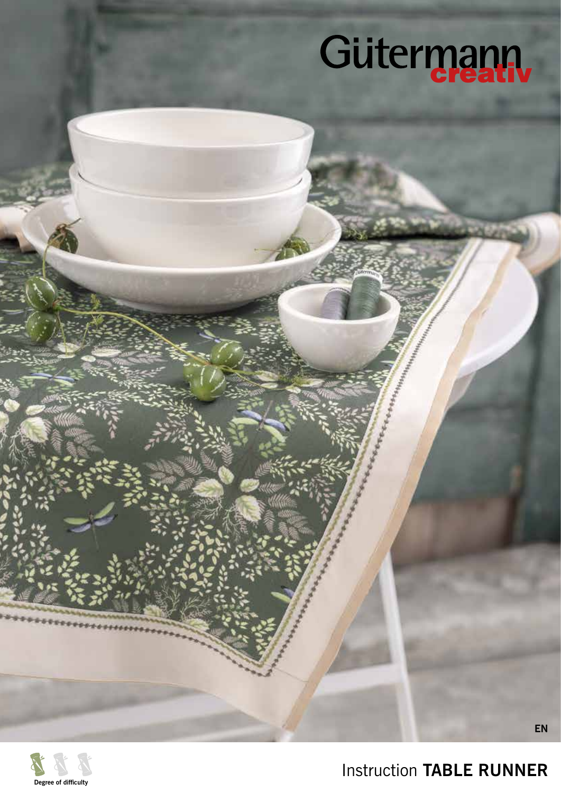# Gütermann



Instruction **TABLE RUNNER**

**EN**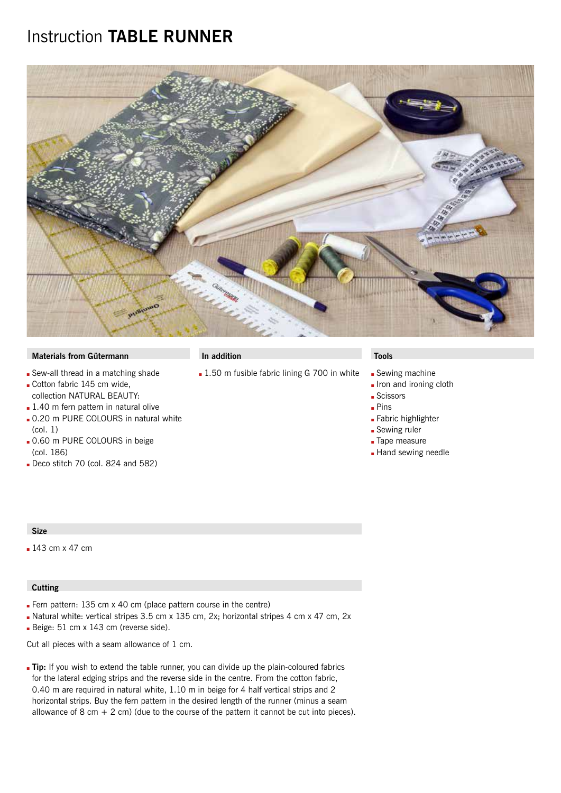### Instruction **TABLE RUNNER**



#### **Materials from Gütermann In addition Tools**

- Sew-all thread in a matching shade
- Gotton fabric 145 cm wide, collection NATURAL BEAUTY:
- $\blacksquare$  1.40 m fern pattern in natural olive
- **.** 0.20 m PURE COLOURS in natural white (col. 1)
- 0.60 m PURE COLOURS in beige (col. 186)
- Deco stitch 70 (col. 824 and 582)

#### **Size**

 $143$  cm x 47 cm

#### **Cutting**

- Fern pattern:  $135$  cm x 40 cm (place pattern course in the centre)
- Datural white: vertical stripes 3.5 cm x 135 cm, 2x; horizontal stripes 4 cm x 47 cm, 2x
- Beige: 51 cm x 143 cm (reverse side).

Cut all pieces with a seam allowance of 1 cm.

**Tip:** If you wish to extend the table runner, you can divide up the plain-coloured fabrics for the lateral edging strips and the reverse side in the centre. From the cotton fabric, 0.40 m are required in natural white, 1.10 m in beige for 4 half vertical strips and 2 horizontal strips. Buy the fern pattern in the desired length of the runner (minus a seam allowance of 8 cm  $+ 2$  cm) (due to the course of the pattern it cannot be cut into pieces).

- 1.50 m fusible fabric lining G 700 in white Sewing machine
	- **.** Iron and ironing cloth
	- **Scissors**
	- **Pins**
	- **Eabric highlighter**
	- **Sewing ruler**
	- **Tape measure**
	- **Hand sewing needle**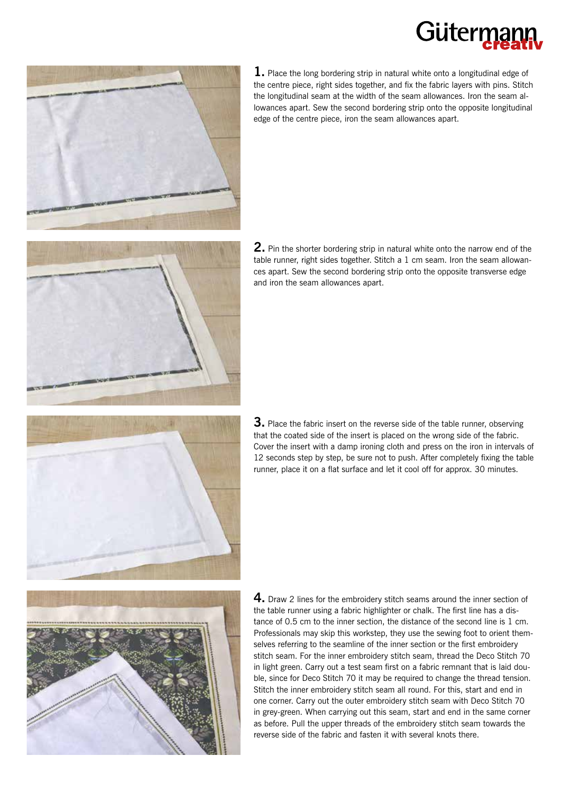## Güterm



**1.** Place the long bordering strip in natural white onto a longitudinal edge of the centre piece, right sides together, and fix the fabric layers with pins. Stitch the longitudinal seam at the width of the seam allowances. Iron the seam allowances apart. Sew the second bordering strip onto the opposite longitudinal edge of the centre piece, iron the seam allowances apart.



**2.** Pin the shorter bordering strip in natural white onto the narrow end of the table runner, right sides together. Stitch a 1 cm seam. Iron the seam allowances apart. Sew the second bordering strip onto the opposite transverse edge and iron the seam allowances apart.



**3.** Place the fabric insert on the reverse side of the table runner, observing that the coated side of the insert is placed on the wrong side of the fabric. Cover the insert with a damp ironing cloth and press on the iron in intervals of 12 seconds step by step, be sure not to push. After completely fixing the table runner, place it on a flat surface and let it cool off for approx. 30 minutes.



**4.** Draw 2 lines for the embroidery stitch seams around the inner section of the table runner using a fabric highlighter or chalk. The first line has a distance of 0.5 cm to the inner section, the distance of the second line is 1 cm. Professionals may skip this workstep, they use the sewing foot to orient themselves referring to the seamline of the inner section or the first embroidery stitch seam. For the inner embroidery stitch seam, thread the Deco Stitch 70 in light green. Carry out a test seam first on a fabric remnant that is laid double, since for Deco Stitch 70 it may be required to change the thread tension. Stitch the inner embroidery stitch seam all round. For this, start and end in one corner. Carry out the outer embroidery stitch seam with Deco Stitch 70 in grey-green. When carrying out this seam, start and end in the same corner as before. Pull the upper threads of the embroidery stitch seam towards the reverse side of the fabric and fasten it with several knots there.